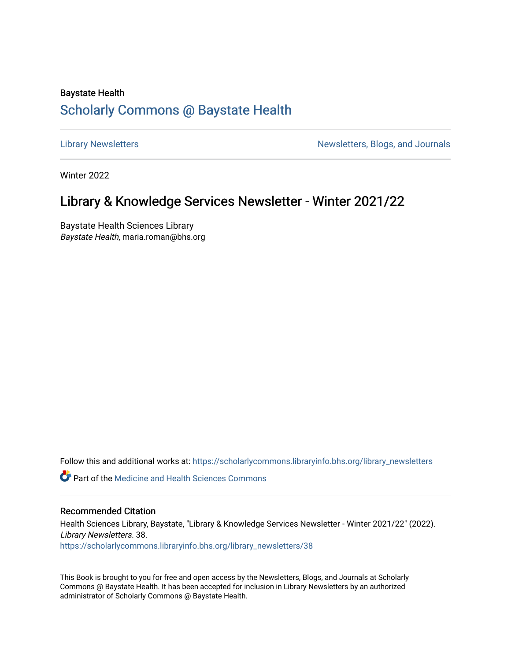# Baystate Health [Scholarly Commons @ Baystate Health](https://scholarlycommons.libraryinfo.bhs.org/)

[Library Newsletters](https://scholarlycommons.libraryinfo.bhs.org/library_newsletters) **Newsletters** Newsletters, Blogs, and Journals

Winter 2022

# Library & Knowledge Services Newsletter - Winter 2021/22

Baystate Health Sciences Library Baystate Health, maria.roman@bhs.org

Follow this and additional works at: [https://scholarlycommons.libraryinfo.bhs.org/library\\_newsletters](https://scholarlycommons.libraryinfo.bhs.org/library_newsletters?utm_source=scholarlycommons.libraryinfo.bhs.org%2Flibrary_newsletters%2F38&utm_medium=PDF&utm_campaign=PDFCoverPages) 

**C** Part of the Medicine and Health Sciences Commons

#### Recommended Citation

Health Sciences Library, Baystate, "Library & Knowledge Services Newsletter - Winter 2021/22" (2022). Library Newsletters. 38. [https://scholarlycommons.libraryinfo.bhs.org/library\\_newsletters/38](https://scholarlycommons.libraryinfo.bhs.org/library_newsletters/38?utm_source=scholarlycommons.libraryinfo.bhs.org%2Flibrary_newsletters%2F38&utm_medium=PDF&utm_campaign=PDFCoverPages)

This Book is brought to you for free and open access by the Newsletters, Blogs, and Journals at Scholarly Commons @ Baystate Health. It has been accepted for inclusion in Library Newsletters by an authorized administrator of Scholarly Commons @ Baystate Health.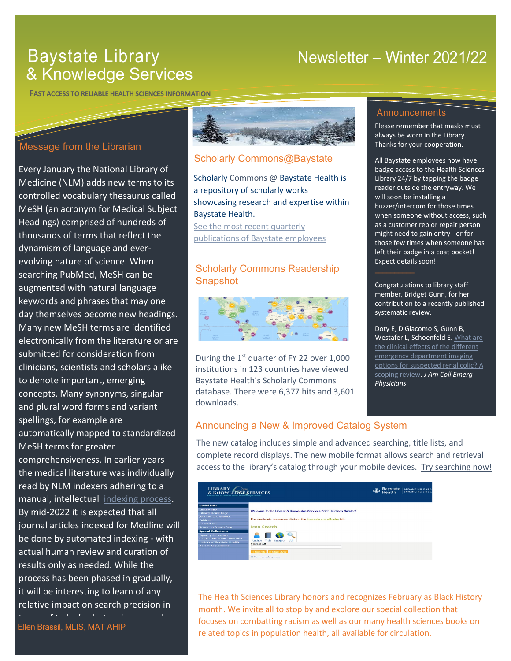# Baystate Library & Knowledge Services

# Newsletter – Winter 2021/22

**FAST ACCESS TO RELIABLE HEALTH SCIENCES INFORMATION**

# Message from the Librarian

comprehensiveness. In earlier years the [medica](https://spark.adobe.com/page/RZv1jovPmZKXt/)l literature was individually read by NLM indexers adhering to a manual, intellectual indexing process. By mid-2022 it is expected that all course of the last year, the track participants of the track participants of the track participants of the track participants of the track participants of the track participants of the track participants of the track parti journal articles indexed for Medline will Every January the National Library of Medicine (NLM) adds new terms to its controlled vocabulary thesaurus called MeSH (an acronym for Medical Subject Headings) comprised of hundreds of thousands of terms that reflect the dynamism of language and everevolving nature of science. When searching PubMed, MeSH can be augmented with natural language keywords and phrases that may one day themselves become new headings. Many new MeSH terms are identified electronically from the literature or are submitted for consideration from clinicians, scientists and scholars alike to denote important, emerging concepts. Many synonyms, singular and plural word forms and variant spellings, for example are automatically mapped to standardized MeSH terms for greater be done by automated indexing - with actual human review and curation of results only as needed. While the process has been phased in gradually, it will be interesting to learn of any relative impact on search precision in  $\mathbf{r}$  for detection  $\mathbf{r}$ 

Ellen Brassil, MLIS, MAT AHIP



## Scholarly Commons@Baystate

Scholarly Commons @ Baystate Health is a repository of scholarly works showcasing research and expertise within Baystate Health.

[See the most recent quarterly](https://scholarlycommons.libraryinfo.bhs.org/do/search/advanced/?q=&start=0&start_date=10%2F01%2F2021&end_date=12%2F31%2F2021&context=3897337&sort=score&facet=)  publications of [Baystate employees](https://scholarlycommons.libraryinfo.bhs.org/do/search/advanced/?q=&start=0&start_date=10%2F01%2F2021&end_date=12%2F31%2F2021&context=3897337&sort=score&facet=)

## Scholarly Commons Readership Snapshot



During the  $1<sup>st</sup>$  quarter of FY 22 over 1,000 institutions in 123 countries have viewed Baystate Health's Scholarly Commons database. There were 6,377 hits and 3,601 downloads.

### **Announcements**

Please remember that masks must always be worn in the Library. Thanks for your cooperation.

All Baystate employees now have badge access to the Health Sciences Library 24/7 by tapping the badge reader outside the entryway. We will soon be installing a buzzer/intercom for those times when someone without access, such as a customer rep or repair person might need to gain entry - or for those few times when someone has left their badge in a coat pocket! Expect details soon!

Congratulations to library staff member, Bridget Gunn, for her contribution to a recently published systematic review.

**\_\_\_\_\_\_\_\_\_\_**

Doty E, DiGiacomo S, Gunn B, Westafer L, Schoenfeld E. What are [the clinical effects of the different](https://pubmed.ncbi.nlm.nih.gov/34179874/)  [emergency department imaging](https://pubmed.ncbi.nlm.nih.gov/34179874/)  [options for suspected renal colic? A](https://pubmed.ncbi.nlm.nih.gov/34179874/)  [scoping review.](https://pubmed.ncbi.nlm.nih.gov/34179874/) *J Am Coll Emerg Physicians* 

### Announcing a New & Improved Catalog System

The new catalog includes simple and advanced searching, title lists, and complete record displays. The new mobile format allows search and retrieval access to the library's catalog through your mobile devices. Try [searching](https://b95038.eos-intl.net/B95038/OPAC/) now!



The Health Sciences Library honors and recognizes February as Black History month. We invite all to stop by and explore our special collection that focuses on combatting racism as well as our many health sciences books on related topics in population health, all available for circulation.